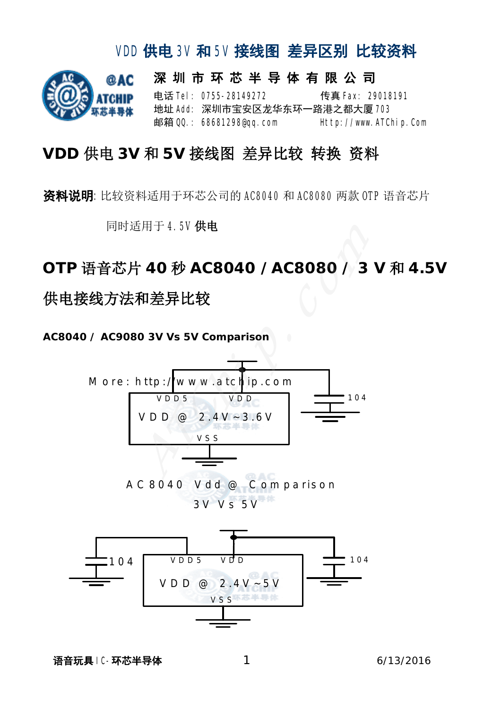# @AC

## VID供电 3V 和 5V 接线图 差异区别 比较资料

深 圳 市 环 芯 半 导 体 有 限 公 司 电话 **Tel: 0755-28149272** 6 传真 **Fax: 29018191** 地址 Add: 深圳市宝安区龙华东环一路港之都大厦 708 邮箱 QQ.: 68681298@qq.com Http://www.ATChip.Com

### **VDD** 供电 **3V** 和 **5V** 接线图 差异比较 转换 资料

资料说明:比较资料适用于环芯公司的 AC8040 和 AC8080 两款 OTP 语音芯片

同时适用于 4.5V 供电

## **OTP** 语音芯片 **40** 秒 **AC8040 /AC8080 / 3 V** 和 **4.5V** 供电接线方法和差异比较

**AC8040 / AC9080 3V Vs 5V Comparison** 

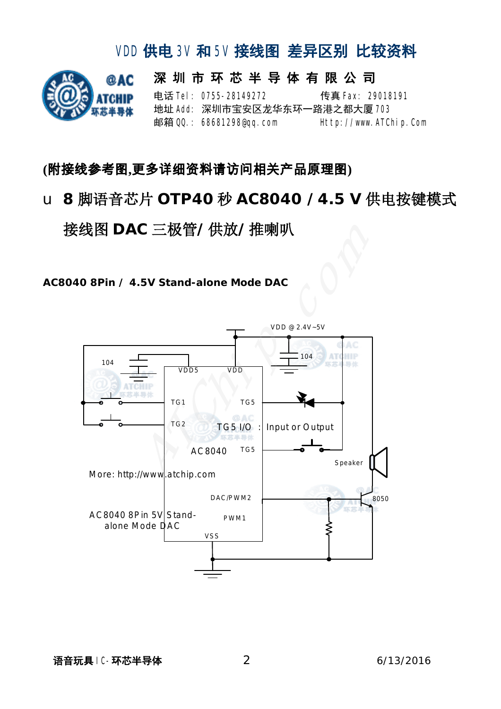# @AC

## VID供电 3V 和 5V 接线图 差异区别 比较资料

深 圳 市 环 芯 半 导 体 有 限 公 司 电话 **Tel: 0755-28149272** 传真 Fax: 29018191 地址 Add: 深圳市宝安区龙华东环一路港之都大厦 703 邮箱 QQ.: 68681298@qq.com Http://www.ATChip.Com

#### **(**附接线参考图**,**更多详细资料请访问相关产品原理图**)**

u **8** 脚语音芯片 **OTP40** 秒 **AC8040 /4.5 V** 供电按键模式

接线图 **DAC** 三极管**/**供放**/**推喇叭

**AC8040 8Pin / 4.5V Stand-alone Mode DAC** 

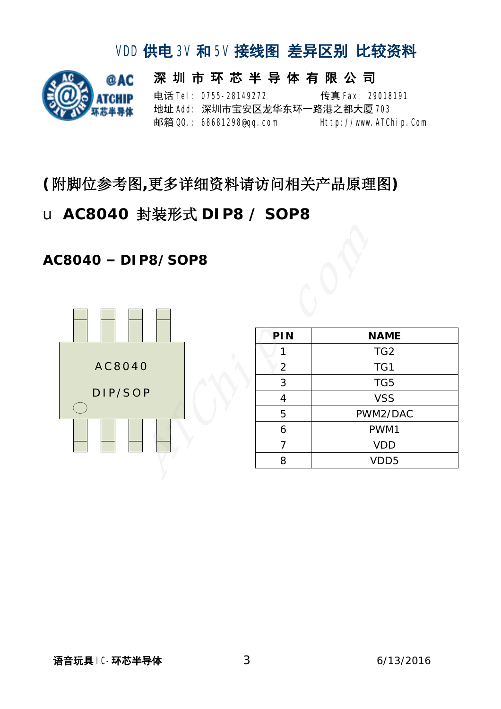

## VID供电 3V 和 5V 接线图 差异区别 比较资料 深 圳 市 环 芯 半 导 体 有 限 公 司

电话 **Tel: 0755-28149272** 传真 Fax: 29018191 地址 Add: 深圳市宝安区龙华东环一路港之都大厦 703 邮箱 QQ.: 68681298@qq.com Http://www.ATChip.Com

## **(**附脚位参考图**,**更多详细资料请访问相关产品原理图**)**

## u **AC8040** 封装形式 **DIP8 / SOP8**

#### **AC8040 – DIP8/SOP8**



| PIN            | <b>NAME</b>      |
|----------------|------------------|
|                | TG <sub>2</sub>  |
| $\overline{2}$ | TG1              |
| 3              | TG5              |
| 4              | <b>VSS</b>       |
| 5              | PWM2/DAC         |
| 6              | PWM1             |
| 7              | <b>VDD</b>       |
| 8              | VDD <sub>5</sub> |